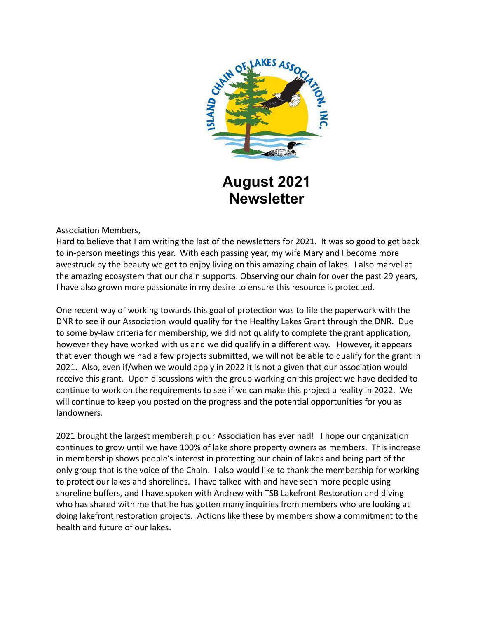

# **August 2021 Newsletter**

Association Members,

Hard to believe that I am writing the last of the newsletters for 2021. It was so good to get back to in-person meetings this year. With each passing year, my wife Mary and I become more awestruck by the beauty we get to enjoy living on this amazing chain of lakes. I also marvel at the amazing ecosystem that our chain supports. Observing our chain for over the past 29 years, I have also grown more passionate in my desire to ensure this resource is protected.

One recent way of working towards this goal of protection was to file the paperwork with the DNR to see if our Association would qualify for the Healthy Lakes Grant through the DNR. Due to some by-law criteria for membership, we did not qualify to complete the grant application, however they have worked with us and we did qualify in a different way. However, it appears that even though we had a few projects submitted, we will not be able to qualify for the grant in 2021. Also, even if/when we would apply in 2022 it is not a given that our association would receive this grant. Upon discussions with the group working on this project we have decided to continue to work on the requirements to see if we can make this project a reality in 2022. We will continue to keep you posted on the progress and the potential opportunities for you as landowners.

2021 brought the largest membership our Association has ever had! I hope our organization continues to grow until we have 100% of lake shore property owners as members. This increase in membership shows people's interest in protecting our chain of lakes and being part of the only group that is the voice of the Chain. I also would like to thank the membership for working to protect our lakes and shorelines. I have talked with and have seen more people using shoreline buffers, and I have spoken with Andrew with TSB Lakefront Restoration and diving who has shared with me that he has gotten many inquiries from members who are looking at doing lakefront restoration projects. Actions like these by members show a commitment to the health and future of our lakes.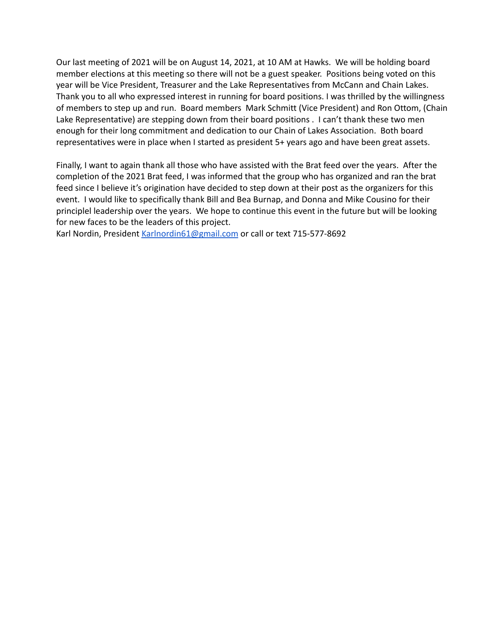Our last meeting of 2021 will be on August 14, 2021, at 10 AM at Hawks. We will be holding board member elections at this meeting so there will not be a guest speaker. Positions being voted on this year will be Vice President, Treasurer and the Lake Representatives from McCann and Chain Lakes. Thank you to all who expressed interest in running for board positions. I was thrilled by the willingness of members to step up and run. Board members Mark Schmitt (Vice President) and Ron Ottom, (Chain Lake Representative) are stepping down from their board positions . I can't thank these two men enough for their long commitment and dedication to our Chain of Lakes Association. Both board representatives were in place when I started as president 5+ years ago and have been great assets.

Finally, I want to again thank all those who have assisted with the Brat feed over the years. After the completion of the 2021 Brat feed, I was informed that the group who has organized and ran the brat feed since I believe it's origination have decided to step down at their post as the organizers for this event. I would like to specifically thank Bill and Bea Burnap, and Donna and Mike Cousino for their principlel leadership over the years. We hope to continue this event in the future but will be looking for new faces to be the leaders of this project.

Karl Nordin, President [Karlnordin61@gmail.com](mailto:Karlnordin61@gmail.com) or call or text 715-577-8692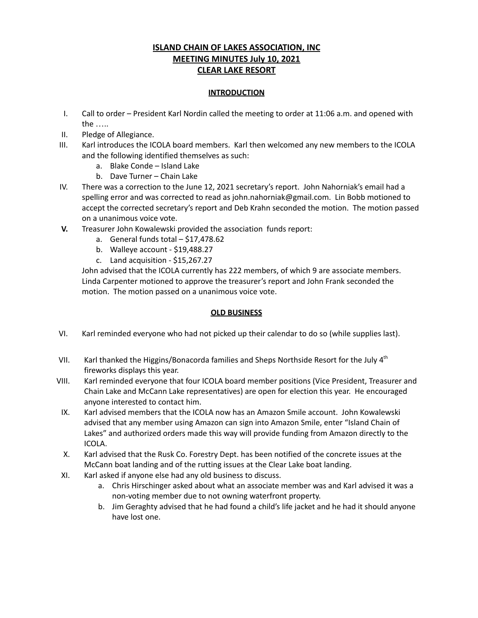#### **ISLAND CHAIN OF LAKES ASSOCIATION, INC MEETING MINUTES July 10, 2021 CLEAR LAKE RESORT**

#### **INTRODUCTION**

- I. Call to order President Karl Nordin called the meeting to order at 11:06 a.m. and opened with the …..
- II. Pledge of Allegiance.
- III. Karl introduces the ICOLA board members. Karl then welcomed any new members to the ICOLA and the following identified themselves as such:
	- a. Blake Conde Island Lake
	- b. Dave Turner Chain Lake
- IV. There was a correction to the June 12, 2021 secretary's report. John Nahorniak's email had a spelling error and was corrected to read as john.nahorniak@gmail.com. Lin Bobb motioned to accept the corrected secretary's report and Deb Krahn seconded the motion. The motion passed on a unanimous voice vote.
- **V.** Treasurer John Kowalewski provided the association funds report:
	- a. General funds total \$17,478.62
	- b. Walleye account \$19,488.27
	- c. Land acquisition \$15,267.27

John advised that the ICOLA currently has 222 members, of which 9 are associate members. Linda Carpenter motioned to approve the treasurer's report and John Frank seconded the motion. The motion passed on a unanimous voice vote.

#### **OLD BUSINESS**

- VI. Karl reminded everyone who had not picked up their calendar to do so (while supplies last).
- VII. Karl thanked the Higgins/Bonacorda families and Sheps Northside Resort for the July  $4<sup>th</sup>$ fireworks displays this year.
- VIII. Karl reminded everyone that four ICOLA board member positions (Vice President, Treasurer and Chain Lake and McCann Lake representatives) are open for election this year. He encouraged anyone interested to contact him.
- IX. Karl advised members that the ICOLA now has an Amazon Smile account. John Kowalewski advised that any member using Amazon can sign into Amazon Smile, enter "Island Chain of Lakes" and authorized orders made this way will provide funding from Amazon directly to the ICOLA.
- X. Karl advised that the Rusk Co. Forestry Dept. has been notified of the concrete issues at the McCann boat landing and of the rutting issues at the Clear Lake boat landing.
- XI. Karl asked if anyone else had any old business to discuss.
	- a. Chris Hirschinger asked about what an associate member was and Karl advised it was a non-voting member due to not owning waterfront property.
	- b. Jim Geraghty advised that he had found a child's life jacket and he had it should anyone have lost one.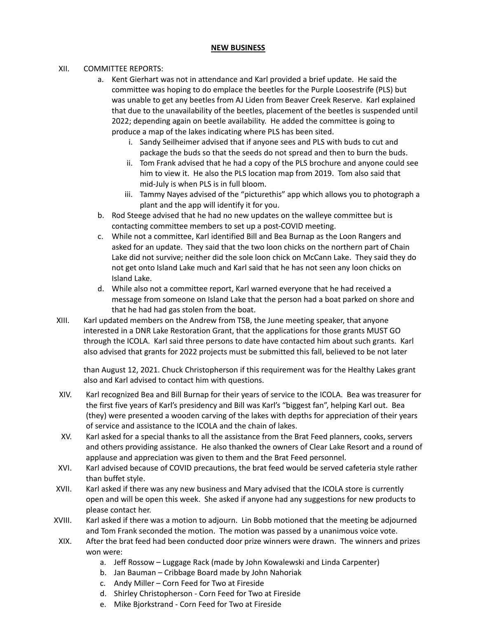#### **NEW BUSINESS**

#### XII. COMMITTEE REPORTS:

- a. Kent Gierhart was not in attendance and Karl provided a brief update. He said the committee was hoping to do emplace the beetles for the Purple Loosestrife (PLS) but was unable to get any beetles from AJ Liden from Beaver Creek Reserve. Karl explained that due to the unavailability of the beetles, placement of the beetles is suspended until 2022; depending again on beetle availability. He added the committee is going to produce a map of the lakes indicating where PLS has been sited.
	- i. Sandy Seilheimer advised that if anyone sees and PLS with buds to cut and package the buds so that the seeds do not spread and then to burn the buds.
	- ii. Tom Frank advised that he had a copy of the PLS brochure and anyone could see him to view it. He also the PLS location map from 2019. Tom also said that mid-July is when PLS is in full bloom.
	- iii. Tammy Nayes advised of the "picturethis" app which allows you to photograph a plant and the app will identify it for you.
- b. Rod Steege advised that he had no new updates on the walleye committee but is contacting committee members to set up a post-COVID meeting.
- c. While not a committee, Karl identified Bill and Bea Burnap as the Loon Rangers and asked for an update. They said that the two loon chicks on the northern part of Chain Lake did not survive; neither did the sole loon chick on McCann Lake. They said they do not get onto Island Lake much and Karl said that he has not seen any loon chicks on Island Lake.
- d. While also not a committee report, Karl warned everyone that he had received a message from someone on Island Lake that the person had a boat parked on shore and that he had had gas stolen from the boat.
- XIII. Karl updated members on the Andrew from TSB, the June meeting speaker, that anyone interested in a DNR Lake Restoration Grant, that the applications for those grants MUST GO through the ICOLA. Karl said three persons to date have contacted him about such grants. Karl also advised that grants for 2022 projects must be submitted this fall, believed to be not later

than August 12, 2021. Chuck Christopherson if this requirement was for the Healthy Lakes grant also and Karl advised to contact him with questions.

- XIV. Karl recognized Bea and Bill Burnap for their years of service to the ICOLA. Bea was treasurer for the first five years of Karl's presidency and Bill was Karl's "biggest fan", helping Karl out. Bea (they) were presented a wooden carving of the lakes with depths for appreciation of their years of service and assistance to the ICOLA and the chain of lakes.
- XV. Karl asked for a special thanks to all the assistance from the Brat Feed planners, cooks, servers and others providing assistance. He also thanked the owners of Clear Lake Resort and a round of applause and appreciation was given to them and the Brat Feed personnel.
- XVI. Karl advised because of COVID precautions, the brat feed would be served cafeteria style rather than buffet style.
- XVII. Karl asked if there was any new business and Mary advised that the ICOLA store is currently open and will be open this week. She asked if anyone had any suggestions for new products to please contact her.
- XVIII. Karl asked if there was a motion to adjourn. Lin Bobb motioned that the meeting be adjourned and Tom Frank seconded the motion. The motion was passed by a unanimous voice vote.
- XIX. After the brat feed had been conducted door prize winners were drawn. The winners and prizes won were:
	- a. Jeff Rossow Luggage Rack (made by John Kowalewski and Linda Carpenter)
	- b. Jan Bauman Cribbage Board made by John Nahoriak
	- c. Andy Miller Corn Feed for Two at Fireside
	- d. Shirley Christopherson Corn Feed for Two at Fireside
	- e. Mike Bjorkstrand Corn Feed for Two at Fireside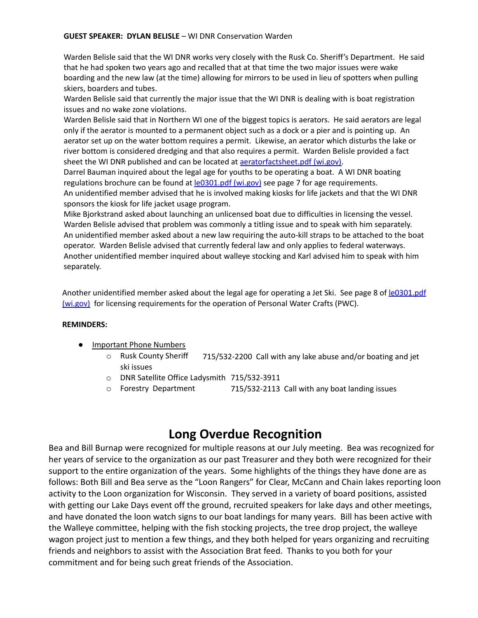Warden Belisle said that the WI DNR works very closely with the Rusk Co. Sheriff's Department. He said that he had spoken two years ago and recalled that at that time the two major issues were wake boarding and the new law (at the time) allowing for mirrors to be used in lieu of spotters when pulling skiers, boarders and tubes.

Warden Belisle said that currently the major issue that the WI DNR is dealing with is boat registration issues and no wake zone violations.

Warden Belisle said that in Northern WI one of the biggest topics is aerators. He said aerators are legal only if the aerator is mounted to a permanent object such as a dock or a pier and is pointing up. An aerator set up on the water bottom requires a permit. Likewise, an aerator which disturbs the lake or river bottom is considered dredging and that also requires a permit. Warden Belisle provided a fact sheet the WI DNR published and can be located at [aeratorfactsheet.pdf \(wi.gov\)](https://dnr.wi.gov/topic/waterways/documents/aeratorfactsheet.pdf).

Darrel Bauman inquired about the legal age for youths to be operating a boat. A WI DNR boating regulations brochure can be found at [le0301.pdf \(wi.gov\)](https://dnr.wi.gov/files/pdf/pubs/le/le0301.pdf) see page 7 for age requirements. An unidentified member advised that he is involved making kiosks for life jackets and that the WI DNR sponsors the kiosk for life jacket usage program.

Mike Bjorkstrand asked about launching an unlicensed boat due to difficulties in licensing the vessel. Warden Belisle advised that problem was commonly a titling issue and to speak with him separately. An unidentified member asked about a new law requiring the auto-kill straps to be attached to the boat operator. Warden Belisle advised that currently federal law and only applies to federal waterways. Another unidentified member inquired about walleye stocking and Karl advised him to speak with him separately.

Another unidentified member asked about the legal age for operating a Jet Ski. See page 8 of le0301.pdf (wi.gov) for licensing requirements for the operation of Personal Water Crafts (PWC).

#### **REMINDERS:**

- **Important Phone Numbers** 
	- 715/532-2200 Call with any lake abuse and/or boating and jet o Rusk County Sheriff ski issues
		- o DNR Satellite Office Ladysmith 715/532-3911
		- 715/532-2113 Call with any boat landing issues o Forestry Department

### **Long Overdue Recognition**

Bea and Bill Burnap were recognized for multiple reasons at our July meeting. Bea was recognized for her years of service to the organization as our past Treasurer and they both were recognized for their support to the entire organization of the years. Some highlights of the things they have done are as follows: Both Bill and Bea serve as the "Loon Rangers" for Clear, McCann and Chain lakes reporting loon activity to the Loon organization for Wisconsin. They served in a variety of board positions, assisted with getting our Lake Days event off the ground, recruited speakers for lake days and other meetings, and have donated the loon watch signs to our boat landings for many years. Bill has been active with the Walleye committee, helping with the fish stocking projects, the tree drop project, the walleye wagon project just to mention a few things, and they both helped for years organizing and recruiting friends and neighbors to assist with the Association Brat feed. Thanks to you both for your commitment and for being such great friends of the Association.